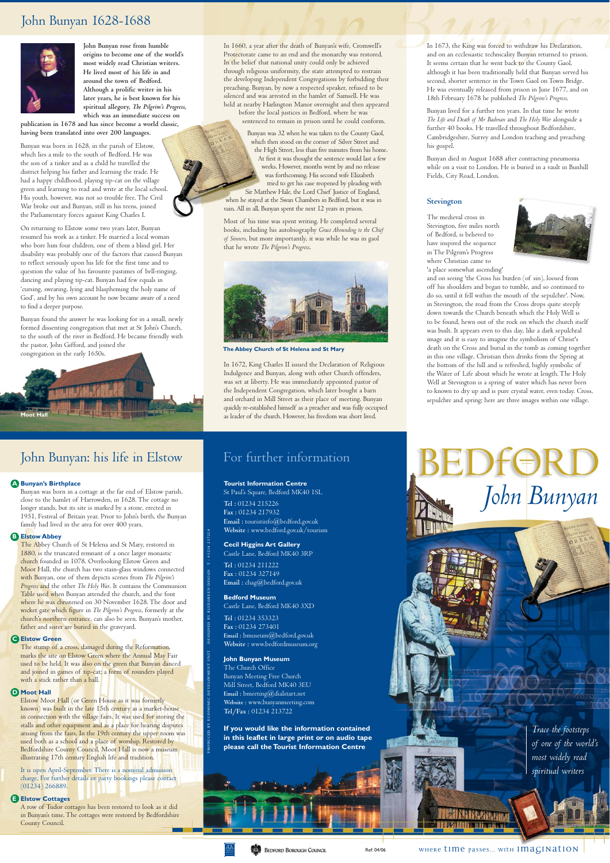*Trace the footsteps of one of the world's* 

*most widely read spiritual writers* 

*John Bunyan* 

where time passes... with imagination

**NHIN-ZANAZ** 自证 医非常病

# For further information

#### **Tourist Information Centre**

St Paul's Square, Bedford MK40 1SL

**Tel :** 01234 215226 **Fax :** 01234 217932 **Email :** touristinfo@bedford.gov.uk **Website :** www.bedford.gov.uk/tourism

#### **Cecil Higgins Art Gallery**

Castle Lane, Bedford MK40 3RP

**Tel :** 01234 211222 **Fax :** 01234 327149 **Email :** chag@bedford.gov.uk

#### **Bedford Museum**

PRODUCED BY ECONOC DEVELOPMENT DESIGNED BY BLUEGREEN DESIGN T : 0124 217218

Castle Lane, Bedford MK40 3XD **Tel :** 01234 353323 **Fax :** 01234 273401 **Email :** bmuseum@bedford.gov.uk **Website :** www.bedfordmuseum.org

**John Bunyan Museum**  The Church Office Bunyan Meeting Free Church Mill Street, Bedford MK40 3EU **Email :** bmeeting@dialstart.net **Website :** www.bunyanmeeting.com **Tel/Fax :** 01234 213722

**If you would like the information contained in this leaflet in large print or on audio tape please call the Tourist Information Centre** 

**BEDFORD BOROUGH COUNCIL** 

# John Bunyan 1628-1688



# John Bunyan: his life in Elstow

**John Bunyan rose from humble origins to become one of the world's most widely read Christian writers. He lived most of his life in and around the town of Bedford. Although a prolific writer in his later years, he is best known for his spiritual allegory,** *The Pilgrim's Progress***, which was an immediate success on** 

**publication in 1678 and has since become a world classic, having been translated into over 200 languages.** 

Bunyan was born in 1628, in the parish of Elstow, which lies a mile to the south of Bedford. He was the son of a tinker and as a child he travelled the district helping his father and learning the trade. He had a happy childhood, playing tip-cat on the village green and learning to read and write at the local school. His youth, however, was not so trouble free. The Civil War broke out and Bunyan, still in his teens, joined the Parliamentary forces against King Charles I.

On returning to Elstow some two years later, Bunyan resumed his work as a tinker. He married a local woman who bore him four children, one of them a blind girl. Her disability was probably one of the factors that caused Bunyan to reflect seriously upon his life for the first time and to question the value of his favourite pastimes of bell-ringing, dancing and playing tip-cat. Bunyan had few equals in 'cursing, swearing, lying and blaspheming the holy name of God', and by his own account he now became aware of a need to find a deeper purpose.

marks the site on Elstow Green where the Annual May Fair used to be held. It was also on the green that Bunyan danced and joined in games of tip-cat; a form of rounders played with a stick rather than a ball.

Bunyan found the answer he was looking for in a small, newly formed dissenting congregation that met at St John's Church, to the south of the river in Bedford. He became friendly with the pastor, John Gifford, and joined the congregation in the early 1650s.

In 1673, the King was forced to withdraw his Declaration, and on an ecclesiastic technicality Bunyan returned to prison. It seems certain that he went back to the County Gaol, although it has been traditionally held that Bunyan served his second, shorter sentence in the Town Gaol on Town Bridge. He was eventually released from prison in June 1677, and on 18th February 1678 he published *The Pilgrim's Progress*.

Bunyan lived for a further ten years. In that time he wrote *The Life and Death of Mr Badman* and *The Holy War* alongside a further 40 books. He travelled throughout Bedfordshire, Cambridgeshire, Surrey and London teaching and preaching his gospel.

Bunyan died in August 1688 after contracting pneumonia while on a visit to London. He is buried in a vault in Bunhill Fields, City Road, London.



**BEDFORD** 

#### **A Bunyan's Birthplace**

Bunyan was born in a cottage at the far end of Elstow parish, close to the hamlet of Harrowden, in 1628. The cottage no longer stands, but its site is marked by a stone, erected in 1951, Festival of Britain year. Prior to John's birth, the Bunyan family had lived in the area for over 400 years.

#### **B Elstow Abbey**

The Abbey Church of St Helena and St Mary, restored in 1880, is the truncated remnant of a once larger monastic church founded in 1078. Overlooking Elstow Green and Moot Hall, the church has two stain-glass windows connected with Bunyan, one of them depicts scenes from *The Pilgrim's Progress* and the other *The Holy War*. It contains the Communion Table used when Bunyan attended the church, and the font where he was christened on 30 November 1628. The door and wicket gate which figure in *The Pilgrim's Progress*, formerly at the church's northern entrance, can also be seen. Bunyan's mother, father and sister are buried in the graveyard.

## **C Elstow Green**

The stump of a cross, damaged during the Reformation,

#### **D Moot Hall**

Elstow Moot Hall (or Green House as it was formerly known) was built in the late 15th century as a market-house in connection with the village fairs. It was used for storing the stalls and other equipment and as a place for hearing disputes arising from the fairs. In the 19th century the upper room was used both as a school and a place of worship. Restored by Bedfordshire County Council, Moot Hall is now a museum illustrating 17th century English life and tradition.

It is open April-September. There is a nominal admission charge. For further details or party bookings please contact (01234) 266889.

#### **E Elstow Cottages**

A row of Tudor cottages has been restored to look as it did in Bunyan's time. The cottages were restored by Bedfordshire County Council.

#### **Stevington**

In 1660, a year after the death of Bunyan's wife, Cromwell's Protectorate came to an end and the monarchy was restored. In the belief that national unity could only be achieved through religious uniformity, the state attempted to restrain the developing Independent Congregations by forbidding their preaching. Bunyan, by now a respected speaker, refused to be silenced and was arrested in the hamlet of Samsell. He was held at nearby Harlington Manor overnight and then appeared before the local justices in Bedford, where he was

sentenced to remain in prison until he could conform.

Bunyan was 32 when he was taken to the County Gaol, which then stood on the corner of Silver Street and the High Street, less than five minutes from his home. At first it was thought the sentence would last a few weeks. However, months went by and no release was forthcoming. His second wife Elizabeth tried to get his case reopened by pleading with Sir Matthew Hale, the Lord Chief Justice of England, when he stayed at the Swan Chambers in Bedford, but it was in vain. All in all, Bunyan spent the next 12 years in prison.

Most of his time was spent writing. He completed several books, including his autobiography *Grace Abounding to the Chief of Sinners*, but more importantly, it was while he was in gaol that he wrote *The Pilgrim's Progress*.

In 1672, King Charles II issued the Declaration of Religious Indulgence and Bunyan, along with other Church offenders, was set at liberty. He was immediately appointed pastor of the Independent Congregation, which later bought a barn and orchard in Mill Street as their place of meeting. Bunyan quickly re-established himself as a preacher and was fully occupied as leader of the church. However, his freedom was short lived.

The medieval cross in Stevington, five miles north of Bedford, is believed to have inspired the sequence in The Pilgrim's Progress where Christian came to 'a place somewhat ascending'



and on seeing 'the Cross his burden (of sin), loosed from off his shoulders and began to tumble, and so continued to do so, until it fell within the mouth of the sepulchre'. Now, in Stevington, the road from the Cross drops quite steeply down towards the Church beneath which the Holy Well is to be found, hewn out of the rock on which the church itself was built. It appears even to this day, like a dark sepulchral image and it is easy to imagine the symbolism of Christ's death on the Cross and burial in the tomb as coming together in this one village. Christian then drinks from the Spring at the bottom of the hill and is refreshed, highly symbolic of the Water of Life about which he wrote at length. The Holy Well at Stevington is a spring of water which has never been to known to dry up and is pure crystal water, even today. Cross, sepulchre and spring; here are three images within one village.



**The Abbey Church of St Helena and St Mary**